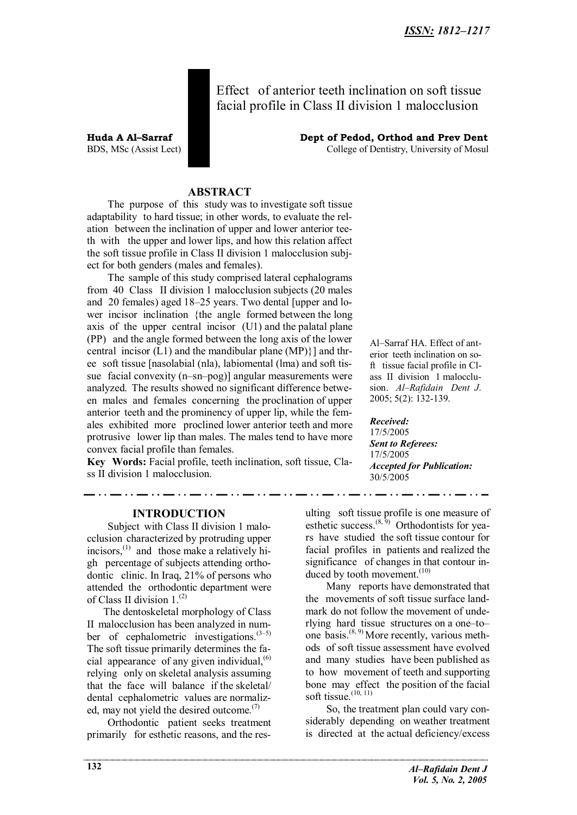Effect of anterior teeth inclination on soft tissue facial profile in Class II division 1 malocclusion

**Huda A Al–Sarraf Dept of Pedod, Orthod and Prev Dent** BDS, MSc (Assist Lect) College of Dentistry, University of Mosul

## **ABSTRACT**

The purpose of this study was to investigate soft tissue adaptability to hard tissue; in other words, to evaluate the relation between the inclination of upper and lower anterior teeth with the upper and lower lips, and how this relation affect the soft tissue profile in Class II division 1 malocclusion subject for both genders (males and females).

The sample of this study comprised lateral cephalograms from 40 Class II division 1 malocclusion subjects (20 males and 20 females) aged 18–25 years. Two dental [upper and lower incisor inclination {the angle formed between the long axis of the upper central incisor (U1) and the palatal plane (PP) and the angle formed between the long axis of the lower central incisor  $(L1)$  and the mandibular plane  $(MP)$ } and three soft tissue [nasolabial (nla), labiomental (lma) and soft tissue facial convexity (n–sn–pog)] angular measurements were analyzed. The results showed no significant difference between males and females concerning the proclination of upper anterior teeth and the prominency of upper lip, while the females exhibited more proclined lower anterior teeth and more protrusive lower lip than males. The males tend to have more convex facial profile than females.

**Key Words:** Facial profile, teeth inclination, soft tissue, Class II division 1 malocclusion.

. . . . . . . .

**INTRODUCTION**

Subject with Class II division 1 malocclusion characterized by protruding upper incisors, $^{(1)}$  and those make a relatively high percentage of subjects attending orthodontic clinic. In Iraq, 21% of persons who attended the orthodontic department were of Class II division 1.<sup>(2)</sup>

The dentoskeletal morphology of Class II malocclusion has been analyzed in number of cephalometric investigations. $(3-5)$ The soft tissue primarily determines the facial appearance of any given individual, $<sup>(6)</sup>$ </sup> relying only on skeletal analysis assuming that the face will balance if the skeletal/ dental cephalometric values are normalized, may not yield the desired outcome. $(7)$ 

Orthodontic patient seeks treatment primarily for esthetic reasons, and the res-

Al–Sarraf HA. Effect of anterior teeth inclination on soft tissue facial profile in Class II division 1 malocclusion. *Al–Rafidain Dent J*. 2005; 5(2): 132-139.

*Received:* 17/5/2005 *Sent to Referees:* 17/5/2005

*Accepted for Publication:* 30/5/2005

ulting soft tissue profile is one measure of esthetic success.  $(8, 9)$  Orthodontists for years have studied the soft tissue contour for facial profiles in patients and realized the significance of changes in that contour induced by tooth movement. $(10)$ 

Many reports have demonstrated that the movements of soft tissue surface landmark do not follow the movement of underlying hard tissue structures on a one–to– one basis.(8, 9) More recently, various methods of soft tissue assessment have evolved and many studies have been published as to how movement of teeth and supporting bone may effect the position of the facial soft tissue. $(10, 11)$ 

So, the treatment plan could vary considerably depending on weather treatment is directed at the actual deficiency/excess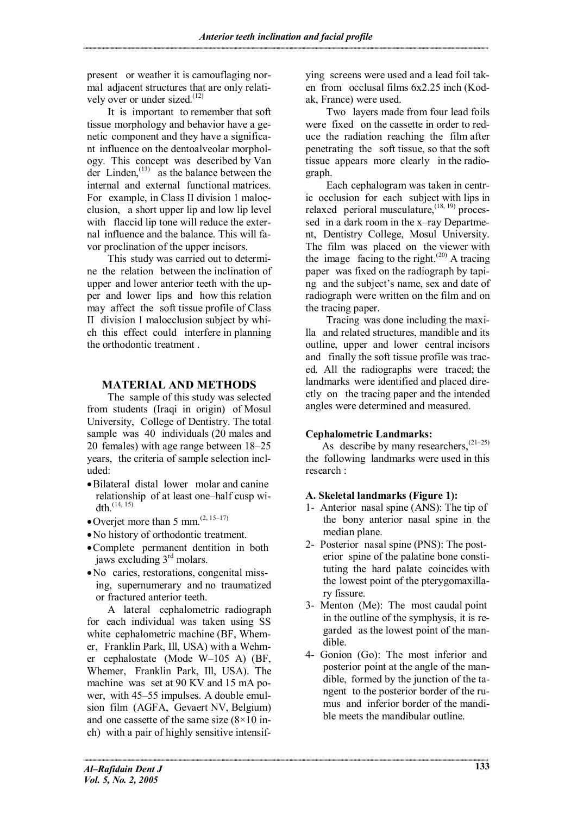present or weather it is camouflaging normal adjacent structures that are only relatively over or under sized. $(12)$ 

It is important to remember that soft tissue morphology and behavior have a genetic component and they have a significant influence on the dentoalveolar morphology. This concept was described by Van der Linden, $^{(13)}$  as the balance between the internal and external functional matrices. For example, in Class II division 1 malocclusion, a short upper lip and low lip level with flaccid lip tone will reduce the external influence and the balance. This will favor proclination of the upper incisors.

This study was carried out to determine the relation between the inclination of upper and lower anterior teeth with the upper and lower lips and how this relation may affect the soft tissue profile of Class II division 1 malocclusion subject by which this effect could interfere in planning the orthodontic treatment .

## **MATERIAL AND METHODS**

The sample of this study was selected from students (Iraqi in origin) of Mosul University, College of Dentistry. The total sample was 40 individuals (20 males and 20 females) with age range between 18–25 years, the criteria of sample selection included:

- · Bilateral distal lower molar and canine relationship of at least one–half cusp width.<sup>(14, 15)</sup>
- Overjet more than 5 mm. $(2, 15-17)$
- · No history of orthodontic treatment.
- · Complete permanent dentition in both jaws excluding 3<sup>rd</sup> molars.
- · No caries, restorations, congenital missing, supernumerary and no traumatized or fractured anterior teeth.

A lateral cephalometric radiograph for each individual was taken using SS white cephalometric machine (BF, Whemer, Franklin Park, Ill, USA) with a Wehmer cephalostate (Mode W–105 A) (BF, Whemer, Franklin Park, Ill, USA). The machine was set at 90 KV and 15 mA power, with 45–55 impulses. A double emulsion film (AGFA, Gevaert NV, Belgium) and one cassette of the same size  $(8\times10)$  inch) with a pair of highly sensitive intensif-

ying screens were used and a lead foil taken from occlusal films 6x2.25 inch (Kodak, France) were used.

Two layers made from four lead foils were fixed on the cassette in order to reduce the radiation reaching the film after penetrating the soft tissue, so that the soft tissue appears more clearly in the radiograph.

Each cephalogram was taken in centric occlusion for each subject with lips in relaxed perioral musculature,  $(18, 19)$  processed in a dark room in the x–ray Department, Dentistry College, Mosul University. The film was placed on the viewer with the image facing to the right.<sup>(20)</sup> A tracing paper was fixed on the radiograph by taping and the subject's name, sex and date of radiograph were written on the film and on the tracing paper.

Tracing was done including the maxilla and related structures, mandible and its outline, upper and lower central incisors and finally the soft tissue profile was traced. All the radiographs were traced; the landmarks were identified and placed directly on the tracing paper and the intended angles were determined and measured.

## **Cephalometric Landmarks:**

As describe by many researchers,  $(21-25)$ the following landmarks were used in this research :

## **A. Skeletal landmarks (Figure 1):**

- 1- Anterior nasal spine (ANS): The tip of the bony anterior nasal spine in the median plane.
- 2- Posterior nasal spine (PNS): The posterior spine of the palatine bone constituting the hard palate coincides with the lowest point of the pterygomaxillary fissure.
- 3- Menton (Me): The most caudal point in the outline of the symphysis, it is regarded as the lowest point of the mandible.
- 4- Gonion (Go): The most inferior and posterior point at the angle of the mandible, formed by the junction of the tangent to the posterior border of the rumus and inferior border of the mandible meets the mandibular outline.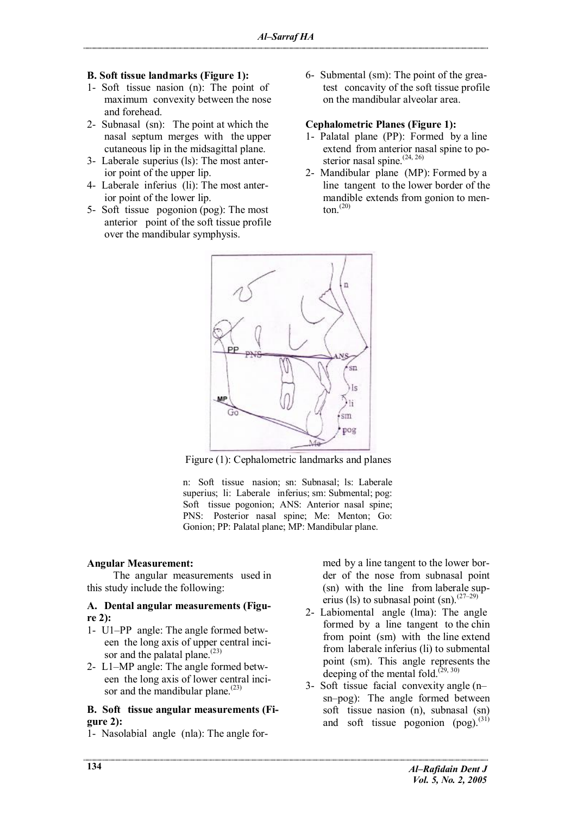#### **B. Soft tissue landmarks (Figure 1):**

- 1- Soft tissue nasion (n): The point of maximum convexity between the nose and forehead.
- 2- Subnasal (sn): The point at which the nasal septum merges with the upper cutaneous lip in the midsagittal plane.
- 3- Laberale superius (ls): The most anterior point of the upper lip.
- 4- Laberale inferius (li): The most anterior point of the lower lip.
- 5- Soft tissue pogonion (pog): The most anterior point of the soft tissue profile over the mandibular symphysis.

6- Submental (sm): The point of the greatest concavity of the soft tissue profile on the mandibular alveolar area.

### **Cephalometric Planes (Figure 1):**

- 1- Palatal plane (PP): Formed by a line extend from anterior nasal spine to posterior nasal spine.<sup>(24, 26)</sup>
- 2- Mandibular plane (MP): Formed by a line tangent to the lower border of the mandible extends from gonion to menton $^{(20)}$



Figure (1): Cephalometric landmarks and planes

n: Soft tissue nasion; sn: Subnasal; ls: Laberale superius; li: Laberale inferius; sm: Submental; pog: Soft tissue pogonion; ANS: Anterior nasal spine; PNS: Posterior nasal spine; Me: Menton; Go: Gonion; PP: Palatal plane; MP: Mandibular plane.

#### **Angular Measurement:**

The angular measurements used in this study include the following:

#### **A. Dental angular measurements (Figure 2):**

- 1- U1–PP angle: The angle formed between the long axis of upper central incisor and the palatal plane.<sup>(23)</sup>
- 2- L1–MP angle: The angle formed between the long axis of lower central incisor and the mandibular plane. $(23)$

#### **B. Soft tissue angular measurements (Figure 2):**

1- Nasolabial angle (nla): The angle for-

med by a line tangent to the lower border of the nose from subnasal point (sn) with the line from laberale superius (ls) to subnasal point (sn).<sup>(27–29)</sup>

- 2- Labiomental angle (lma): The angle formed by a line tangent to the chin from point (sm) with the line extend from laberale inferius (li) to submental point (sm). This angle represents the deeping of the mental fold. $(29, 30)$
- 3- Soft tissue facial convexity angle (n– sn–pog): The angle formed between soft tissue nasion (n), subnasal (sn) and soft tissue pogonion  $(p \circ g)$ .<sup>(31)</sup>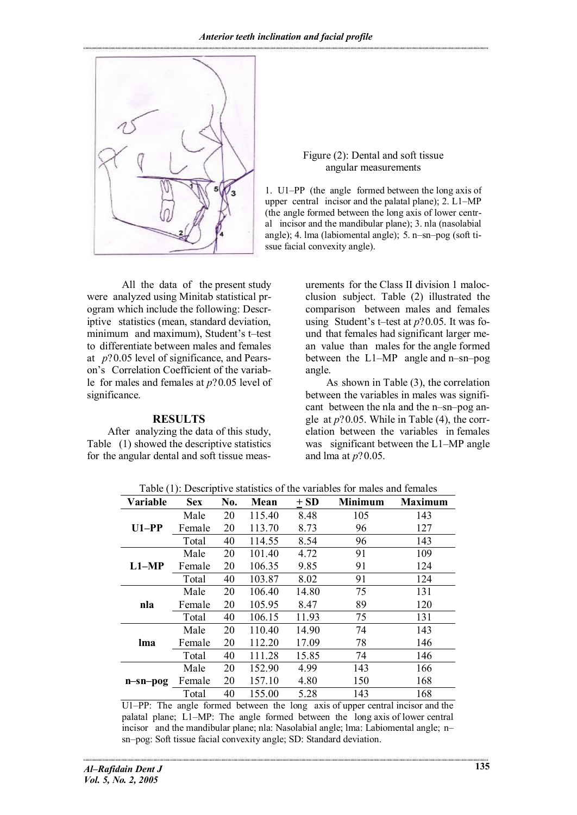

Figure (2): Dental and soft tissue angular measurements

1. U1–PP (the angle formed between the long axis of upper central incisor and the palatal plane); 2. L1–MP (the angle formed between the long axis of lower central incisor and the mandibular plane); 3. nla (nasolabial angle); 4. lma (labiomental angle); 5. n–sn–pog (soft tissue facial convexity angle).

All the data of the present study were analyzed using Minitab statistical program which include the following: Descriptive statistics (mean, standard deviation, minimum and maximum), Student's t–test to differentiate between males and females at *p*?0.05 level of significance, and Pearson's Correlation Coefficient of the variable for males and females at *p*?0.05 level of significance.

### **RESULTS**

After analyzing the data of this study, Table (1) showed the descriptive statistics for the angular dental and soft tissue meas-

urements for the Class II division 1 malocclusion subject. Table (2) illustrated the comparison between males and females using Student's t–test at *p*?0.05. It was found that females had significant larger mean value than males for the angle formed between the L1–MP angle and n–sn–pog angle.

As shown in Table (3), the correlation between the variables in males was significant between the nla and the n–sn–pog angle at  $p$ ?0.05. While in Table (4), the correlation between the variables in females was significant between the L1–MP angle and lma at *p*?0.05.

| Variable   | <b>Sex</b> | No. | Mean   | $\pm$ SD | <b>Minimum</b> | <b>Maximum</b> |
|------------|------------|-----|--------|----------|----------------|----------------|
| $U1-PP$    | Male       | 20  | 115.40 | 8.48     | 105            | 143            |
|            | Female     | 20  | 113.70 | 8.73     | 96             | 127            |
|            | Total      | 40  | 114.55 | 8.54     | 96             | 143            |
| $L1-MP$    | Male       | 20  | 101.40 | 4.72     | 91             | 109            |
|            | Female     | 20  | 106.35 | 9.85     | 91             | 124            |
|            | Total      | 40  | 103.87 | 8.02     | 91             | 124            |
| nla        | Male       | 20  | 106.40 | 14.80    | 75             | 131            |
|            | Female     | 20  | 105.95 | 8.47     | 89             | 120            |
|            | Total      | 40  | 106.15 | 11.93    | 75             | 131            |
| lma        | Male       | 20  | 110.40 | 14.90    | 74             | 143            |
|            | Female     | 20  | 112.20 | 17.09    | 78             | 146            |
|            | Total      | 40  | 111.28 | 15.85    | 74             | 146            |
| $n-sn-pog$ | Male       | 20  | 152.90 | 4.99     | 143            | 166            |
|            | Female     | 20  | 157.10 | 4.80     | 150            | 168            |
|            | Total      | 40  | 155.00 | 5.28     | 143            | 168            |

Table (1): Descriptive statistics of the variables for males and females

U1–PP: The angle formed between the long axis of upper central incisor and the palatal plane; L1–MP: The angle formed between the long axis of lower central incisor and the mandibular plane; nla: Nasolabial angle; lma: Labiomental angle; n– sn–pog: Soft tissue facial convexity angle; SD: Standard deviation.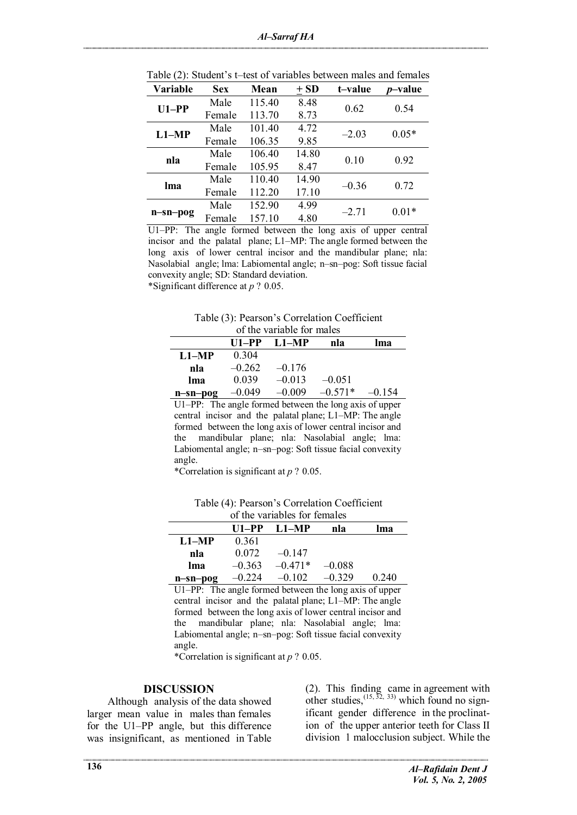| <b>Variable</b> | <b>Sex</b> | Mean   | $\pm$ SD | t–value | <i>p</i> –value |
|-----------------|------------|--------|----------|---------|-----------------|
|                 | Male       | 115.40 | 8.48     | 0.62    | 0.54            |
| $U1-PP$         | Female     | 113.70 | 8.73     |         |                 |
| $L1-MP$         | Male       | 101.40 | 4.72     | $-2.03$ | $0.05*$         |
|                 | Female     | 106.35 | 9.85     |         |                 |
| nla             | Male       | 106.40 | 14.80    | 0.10    | 0.92            |
|                 | Female     | 105.95 | 8.47     |         |                 |
|                 | Male       | 110.40 | 14.90    | $-0.36$ | 0.72            |
| lma             | Female     | 112.20 | 17.10    |         |                 |
|                 | Male       | 152.90 | 4.99     | $-2.71$ | $0.01*$         |
| n-sn-pog        | Female     | 157.10 | 4.80     |         |                 |

Table (2): Student's t–test of variables between males and females

U1–PP: The angle formed between the long axis of upper central incisor and the palatal plane; L1–MP: The angle formed between the long axis of lower central incisor and the mandibular plane; nla: Nasolabial angle; lma: Labiomental angle; n–sn–pog: Soft tissue facial convexity angle; SD: Standard deviation. \*Significant difference at *p* ? 0.05.

| Table (3): Pearson's Correlation Coefficient |
|----------------------------------------------|
| of the variable for males                    |

| $\sigma$ and variable for mand- |          |                 |           |          |  |
|---------------------------------|----------|-----------------|-----------|----------|--|
|                                 |          | $U1-PP$ $L1-MP$ | nla       | lma      |  |
| $L1-MP$                         | 0.304    |                 |           |          |  |
| nla                             | $-0.262$ | $-0.176$        |           |          |  |
| lma                             | 0.039    | $-0.013$        | $-0.051$  |          |  |
| n-sn-pog                        | $-0.049$ | $-0.009$        | $-0.571*$ | $-0.154$ |  |

U1–PP: The angle formed between the long axis of upper central incisor and the palatal plane; L1–MP: The angle formed between the long axis of lower central incisor and the mandibular plane; nla: Nasolabial angle; lma: Labiomental angle; n–sn–pog: Soft tissue facial convexity angle.

\*Correlation is significant at *p* ? 0.05.

Table (4): Pearson's Correlation Coefficient of the variables for females

| of the variables for females |          |                |          |       |  |
|------------------------------|----------|----------------|----------|-------|--|
|                              |          | $U1-PP I.1-MP$ | nla      | lma   |  |
| $L1-MP$                      | 0.361    |                |          |       |  |
| nla                          | 0.072    | $-0.147$       |          |       |  |
| lma                          | $-0.363$ | $-0.471*$      | $-0.088$ |       |  |
| $n$ -sn-pog                  | $-0.224$ | $-0.102$       | $-0.329$ | 0.240 |  |

U1–PP: The angle formed between the long axis of upper central incisor and the palatal plane; L1–MP: The angle formed between the long axis of lower central incisor and the mandibular plane; nla: Nasolabial angle; lma: Labiomental angle; n–sn–pog: Soft tissue facial convexity angle.

\*Correlation is significant at *p* ? 0.05.

#### **DISCUSSION**

Although analysis of the data showed larger mean value in males than females for the U1–PP angle, but this difference was insignificant, as mentioned in Table

(2). This finding came in agreement with other studies,  $^{(15, 32, 33)}$  which found no significant gender difference in the proclination of the upper anterior teeth for Class II division 1 malocclusion subject. While the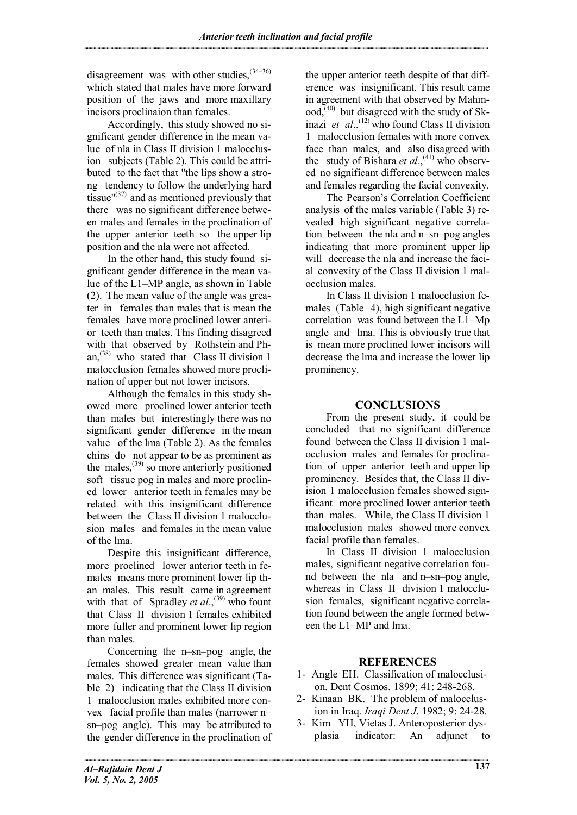disagreement was with other studies,  $(34-36)$ which stated that males have more forward position of the jaws and more maxillary incisors proclinaion than females.

Accordingly, this study showed no significant gender difference in the mean value of nla in Class II division 1 malocclusion subjects (Table 2). This could be attributed to the fact that "the lips show a strong tendency to follow the underlying hard tissue" $(37)$  and as mentioned previously that there was no significant difference between males and females in the proclination of the upper anterior teeth so the upper lip position and the nla were not affected.

In the other hand, this study found significant gender difference in the mean value of the L1–MP angle, as shown in Table (2). The mean value of the angle was greater in females than males that is mean the females have more proclined lower anterior teeth than males. This finding disagreed with that observed by Rothstein and Phan,<sup> $(38)$ </sup> who stated that Class II division 1 malocclusion females showed more proclination of upper but not lower incisors.

Although the females in this study showed more proclined lower anterior teeth than males but interestingly there was no significant gender difference in the mean value of the lma (Table 2). As the females chins do not appear to be as prominent as the males,  $^{(39)}$  so more anteriorly positioned soft tissue pog in males and more proclined lower anterior teeth in females may be related with this insignificant difference between the Class II division 1 malocclusion males and females in the mean value of the lma.

Despite this insignificant difference, more proclined lower anterior teeth in females means more prominent lower lip than males. This result came in agreement with that of Spradley *et al.*,<sup>(39)</sup> who fount that Class II division 1 females exhibited more fuller and prominent lower lip region than males.

Concerning the n–sn–pog angle, the females showed greater mean value than males. This difference was significant (Table 2) indicating that the Class II division 1 malocclusion males exhibited more convex facial profile than males (narrower n– sn–pog angle). This may be attributed to the gender difference in the proclination of

the upper anterior teeth despite of that difference was insignificant. This result came in agreement with that observed by Mahm $ood<sub>1</sub><sup>(40)</sup>$  but disagreed with the study of Skinazi *et al.*,<sup>(12)</sup> who found Class II division 1 malocclusion females with more convex face than males, and also disagreed with the study of Bishara *et al.*,<sup>(41)</sup> who observed no significant difference between males and females regarding the facial convexity.

The Pearson's Correlation Coefficient analysis of the males variable (Table 3) revealed high significant negative correlation between the nla and n–sn–pog angles indicating that more prominent upper lip will decrease the nla and increase the facial convexity of the Class II division 1 malocclusion males.

In Class II division 1 malocclusion females (Table 4), high significant negative correlation was found between the L1–Mp angle and lma. This is obviously true that is mean more proclined lower incisors will decrease the lma and increase the lower lip prominency.

# **CONCLUSIONS**

From the present study, it could be concluded that no significant difference found between the Class II division 1 malocclusion males and females for proclination of upper anterior teeth and upper lip prominency. Besides that, the Class II division 1 malocclusion females showed significant more proclined lower anterior teeth than males. While, the Class II division 1 malocclusion males showed more convex facial profile than females.

In Class II division 1 malocclusion males, significant negative correlation found between the nla and n–sn–pog angle, whereas in Class II division 1 malocclusion females, significant negative correlation found between the angle formed between the L1–MP and lma.

# **REFERENCES**

- 1- Angle EH. Classification of malocclusion. Dent Cosmos. 1899; 41: 248-268.
- 2- Kinaan BK. The problem of malocclusion in Iraq. *Iraqi Dent J*. 1982; 9: 24-28.
- 3- Kim YH, Vietas J. Anteroposterior dysplasia indicator: An adjunct to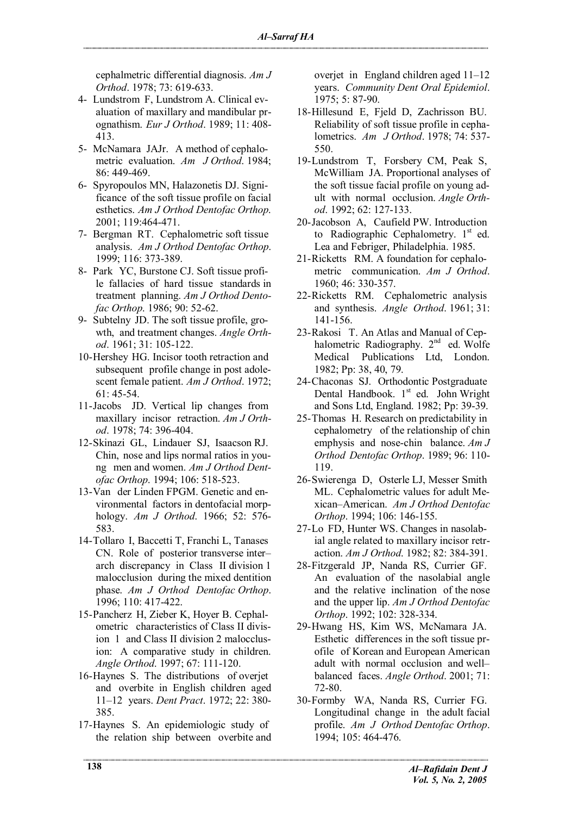cephalmetric differential diagnosis. *Am J Orthod*. 1978; 73: 619-633.

- 4- Lundstrom F, Lundstrom A. Clinical evaluation of maxillary and mandibular prognathism. *Eur J Orthod*. 1989; 11: 408- 413.
- 5- McNamara JAJr. A method of cephalometric evaluation. *Am J Orthod*. 1984; 86: 449-469.
- 6- Spyropoulos MN, Halazonetis DJ. Significance of the soft tissue profile on facial esthetics. *Am J Orthod Dentofac Orthop*. 2001; 119:464-471.
- 7- Bergman RT. Cephalometric soft tissue analysis. *Am J Orthod Dentofac Orthop*. 1999; 116: 373-389.
- 8- Park YC, Burstone CJ. Soft tissue profile fallacies of hard tissue standards in treatment planning. *Am J Orthod Dentofac Orthop*. 1986; 90: 52-62.
- 9- Subtelny JD. The soft tissue profile, growth, and treatment changes. *Angle Orthod*. 1961; 31: 105-122.
- 10-Hershey HG. Incisor tooth retraction and subsequent profile change in post adolescent female patient. *Am J Orthod*. 1972; 61: 45-54.
- 11-Jacobs JD. Vertical lip changes from maxillary incisor retraction. *Am J Orthod*. 1978; 74: 396-404.
- 12-Skinazi GL, Lindauer SJ, Isaacson RJ. Chin, nose and lips normal ratios in young men and women. *Am J Orthod Dentofac Orthop*. 1994; 106: 518-523.
- 13-Van der Linden FPGM. Genetic and environmental factors in dentofacial morphology. *Am J Orthod*. 1966; 52: 576- 583.
- 14-Tollaro I, Baccetti T, Franchi L, Tanases CN. Role of posterior transverse inter– arch discrepancy in Class II division 1 malocclusion during the mixed dentition phase. *Am J Orthod Dentofac Orthop*. 1996; 110: 417-422.
- 15-Pancherz H, Zieber K, Hoyer B. Cephalometric characteristics of Class II division 1 and Class II division 2 malocclusion: A comparative study in children. *Angle Orthod*. 1997; 67: 111-120.
- 16-Haynes S. The distributions of overjet and overbite in English children aged 11–12 years. *Dent Pract*. 1972; 22: 380- 385.
- 17-Haynes S. An epidemiologic study of the relation ship between overbite and

overjet in England children aged 11–12 years. *Community Dent Oral Epidemiol*. 1975; 5: 87-90.

- 18-Hillesund E, Fjeld D, Zachrisson BU. Reliability of soft tissue profile in cephalometrics. *Am J Orthod*. 1978; 74: 537- 550.
- 19-Lundstrom T, Forsbery CM, Peak S, McWilliam JA. Proportional analyses of the soft tissue facial profile on young adult with normal occlusion. *Angle Orthod*. 1992; 62: 127-133.
- 20-Jacobson A, Caufield PW. Introduction to Radiographic Cephalometry.  $1<sup>st</sup>$  ed. Lea and Febriger, Philadelphia. 1985.
- 21-Ricketts RM. A foundation for cephalometric communication. *Am J Orthod*. 1960; 46: 330-357.
- 22-Ricketts RM. Cephalometric analysis and synthesis. *Angle Orthod*. 1961; 31: 141-156.
- 23-Rakosi T. An Atlas and Manual of Cephalometric Radiography.  $2<sup>nd</sup>$  ed. Wolfe Medical Publications Ltd, London. 1982; Pp: 38, 40, 79.
- 24-Chaconas SJ. Orthodontic Postgraduate Dental Handbook. 1<sup>st</sup> ed. John Wright and Sons Ltd, England. 1982; Pp: 39-39.
- 25-Thomas H. Research on predictability in cephalometry of the relationship of chin emphysis and nose-chin balance. *Am J Orthod Dentofac Orthop*. 1989; 96: 110- 119.
- 26-Swierenga D, Osterle LJ, Messer Smith ML. Cephalometric values for adult Mexican–American. *Am J Orthod Dentofac Orthop*. 1994; 106: 146-155.
- 27-Lo FD, Hunter WS. Changes in nasolabial angle related to maxillary incisor retraction. *Am J Orthod*. 1982; 82: 384-391.
- 28-Fitzgerald JP, Nanda RS, Currier GF. An evaluation of the nasolabial angle and the relative inclination of the nose and the upper lip. *Am J Orthod Dentofac Orthop*. 1992; 102: 328-334.
- 29-Hwang HS, Kim WS, McNamara JA. Esthetic differences in the soft tissue profile of Korean and European American adult with normal occlusion and well– balanced faces. *Angle Orthod*. 2001; 71: 72-80.
- 30-Formby WA, Nanda RS, Currier FG. Longitudinal change in the adult facial profile. *Am J Orthod Dentofac Orthop*. 1994; 105: 464-476.